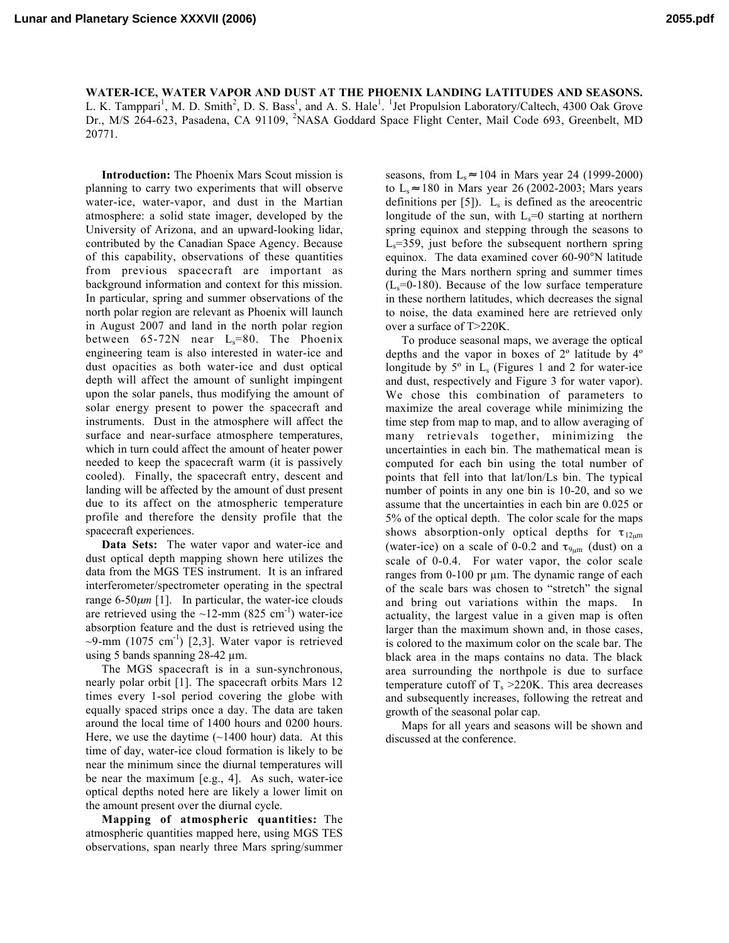**Lunar and Planetary Science XXXVII (2006) 2055.pdf**

WATER-ICE, WATER VAPOR AND DUST AT THE PHOENIX LANDING LATITUDES AND SEASONS. L. K. Tamppari<sup>1</sup>, M. D. Smith<sup>2</sup>, D. S. Bass<sup>1</sup>, and A. S. Hale<sup>1</sup>. <sup>1</sup>Jet Propulsion Laboratory/Caltech, 4300 Oak Grove Dr., M/S 264-623, Pasadena, CA 91109, <sup>2</sup>NASA Goddard Space Flight Center, Mail Code 693, Greenbelt, MD 20771.

Introduction: The Phoenix Mars Scout mission is planning to carry two experiments that will observe water-ice, water-vapor, and dust in the Martian atmosphere: a solid state imager, developed by the University of Arizona, and an upward-looking lidar, contributed by the Canadian Space Agency. Because of this capability, observations of these quantities from previous spacecraft are important as background information and context for this mission. In particular, spring and summer observations of the north polar region are relevant as Phoenix will launch in August 2007 and land in the north polar region between  $65-72N$  near  $L_s=80$ . The Phoenix engineering team is also interested in water-ice and dust opacities as both water-ice and dust optical depth will affect the amount of sunlight impingent upon the solar panels, thus modifying the amount of solar energy present to power the spacecraft and instruments. Dust in the atmosphere will affect the surface and near-surface atmosphere temperatures, which in turn could affect the amount of heater power needed to keep the spacecraft warm (it is passively cooled). Finally, the spacecraft entry, descent and landing will be affected by the amount of dust present due to its affect on the atmospheric temperature profile and therefore the density profile that the spacecraft experiences.

Data Sets: The water vapor and water-ice and dust optical depth mapping shown here utilizes the data from the MGS TES instrument. It is an infrared interferometer/spectrometer operating in the spectral range 6-50µ*m* [1]. In particular, the water-ice clouds are retrieved using the  $\sim$ 12-mm (825 cm<sup>-1</sup>) water-ice absorption feature and the dust is retrieved using the  $\sim$ 9-mm (1075 cm<sup>-1</sup>) [2,3]. Water vapor is retrieved using 5 bands spanning 28-42 µm.

The MGS spacecraft is in a sun-synchronous, nearly polar orbit [1]. The spacecraft orbits Mars 12 times every 1-sol period covering the globe with equally spaced strips once a day. The data are taken around the local time of 1400 hours and 0200 hours. Here, we use the daytime  $(\sim 1400$  hour) data. At this time of day, water-ice cloud formation is likely to be near the minimum since the diurnal temperatures will be near the maximum [e.g., 4]. As such, water-ice optical depths noted here are likely a lower limit on the amount present over the diurnal cycle.

Mapping of atmospheric quantities: The atmospheric quantities mapped here, using MGS TES observations, span nearly three Mars spring/summer seasons, from  $L_s \approx 104$  in Mars year 24 (1999-2000) to  $L_s \approx 180$  in Mars year 26 (2002-2003; Mars years definitions per  $[5]$ ).  $L_s$  is defined as the areocentric longitude of the sun, with  $L_s=0$  starting at northern spring equinox and stepping through the seasons to  $L<sub>s</sub>=359$ , just before the subsequent northern spring equinox. The data examined cover 60-90°N latitude during the Mars northern spring and summer times  $(L_s=0-180)$ . Because of the low surface temperature in these northern latitudes, which decreases the signal to noise, the data examined here are retrieved only over a surface of T>220K.

To produce seasonal maps, we average the optical depths and the vapor in boxes of 2º latitude by 4º longitude by  $5^\circ$  in  $L_s$  (Figures 1 and 2 for water-ice and dust, respectively and Figure 3 for water vapor). We chose this combination of parameters to maximize the areal coverage while minimizing the time step from map to map, and to allow averaging of many retrievals together, minimizing the uncertainties in each bin. The mathematical mean is computed for each bin using the total number of points that fell into that lat/lon/Ls bin. The typical number of points in any one bin is 10-20, and so we assume that the uncertainties in each bin are 0.025 or 5% of the optical depth. The color scale for the maps shows absorption-only optical depths for  $\tau_{12\mu m}$ (water-ice) on a scale of 0-0.2 and  $\tau_{9\mu m}$  (dust) on a scale of 0-0.4. For water vapor, the color scale ranges from 0-100 pr µm. The dynamic range of each of the scale bars was chosen to "stretch" the signal and bring out variations within the maps. In actuality, the largest value in a given map is often larger than the maximum shown and, in those cases, is colored to the maximum color on the scale bar. The black area in the maps contains no data. The black area surrounding the northpole is due to surface temperature cutoff of  $T_s > 220$ K. This area decreases and subsequently increases, following the retreat and growth of the seasonal polar cap.

Maps for all years and seasons will be shown and discussed at the conference.